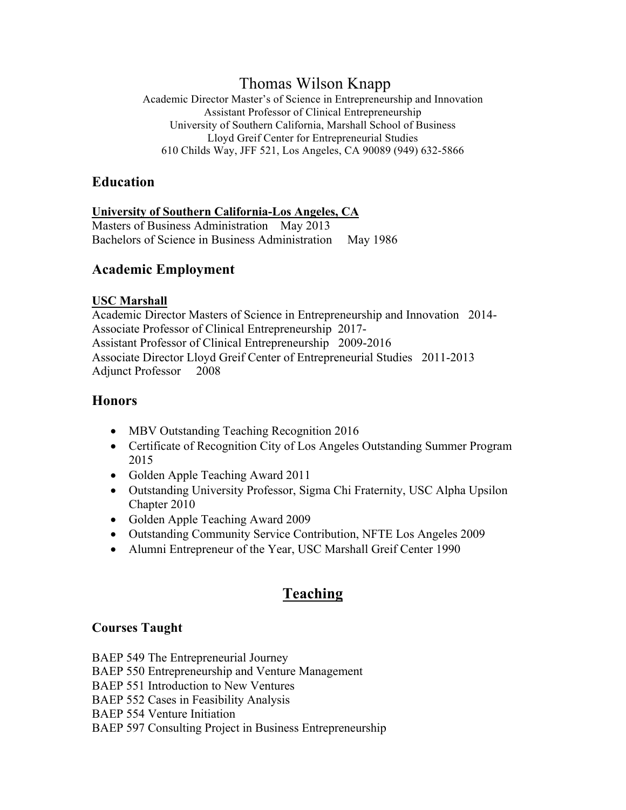# Thomas Wilson Knapp

Academic Director Master's of Science in Entrepreneurship and Innovation Assistant Professor of Clinical Entrepreneurship University of Southern California, Marshall School of Business Lloyd Greif Center for Entrepreneurial Studies 610 Childs Way, JFF 521, Los Angeles, CA 90089 (949) 632-5866

## **Education**

## **University of Southern California-Los Angeles, CA**

Masters of Business Administration May 2013 Bachelors of Science in Business Administration May 1986

## **Academic Employment**

### **USC Marshall**

Academic Director Masters of Science in Entrepreneurship and Innovation 2014- Associate Professor of Clinical Entrepreneurship 2017- Assistant Professor of Clinical Entrepreneurship 2009-2016 Associate Director Lloyd Greif Center of Entrepreneurial Studies 2011-2013 Adjunct Professor 2008

## **Honors**

- MBV Outstanding Teaching Recognition 2016
- Certificate of Recognition City of Los Angeles Outstanding Summer Program 2015
- Golden Apple Teaching Award 2011
- Outstanding University Professor, Sigma Chi Fraternity, USC Alpha Upsilon Chapter 2010
- Golden Apple Teaching Award 2009
- Outstanding Community Service Contribution, NFTE Los Angeles 2009
- Alumni Entrepreneur of the Year, USC Marshall Greif Center 1990

# **Teaching**

## **Courses Taught**

BAEP 549 The Entrepreneurial Journey BAEP 550 Entrepreneurship and Venture Management BAEP 551 Introduction to New Ventures BAEP 552 Cases in Feasibility Analysis

BAEP 554 Venture Initiation

BAEP 597 Consulting Project in Business Entrepreneurship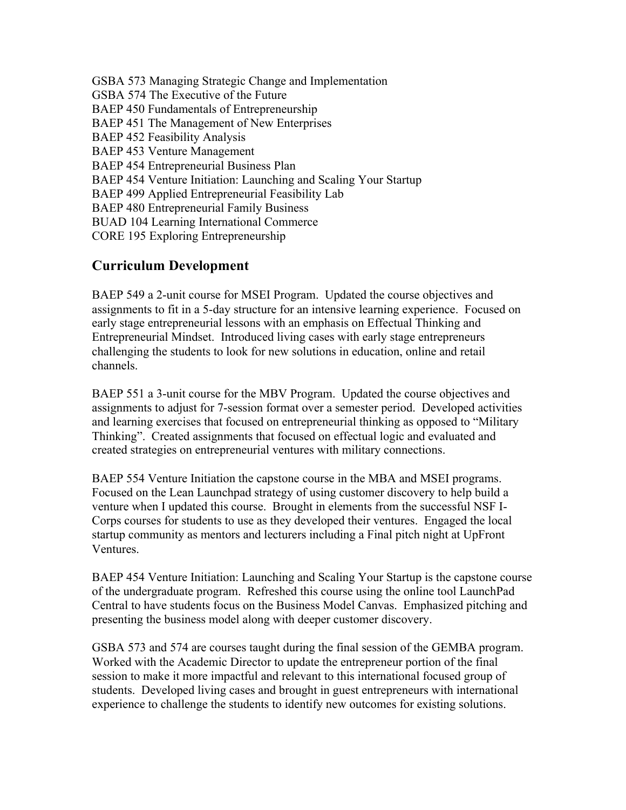GSBA 573 Managing Strategic Change and Implementation GSBA 574 The Executive of the Future BAEP 450 Fundamentals of Entrepreneurship BAEP 451 The Management of New Enterprises BAEP 452 Feasibility Analysis BAEP 453 Venture Management BAEP 454 Entrepreneurial Business Plan BAEP 454 Venture Initiation: Launching and Scaling Your Startup BAEP 499 Applied Entrepreneurial Feasibility Lab BAEP 480 Entrepreneurial Family Business BUAD 104 Learning International Commerce CORE 195 Exploring Entrepreneurship

# **Curriculum Development**

BAEP 549 a 2-unit course for MSEI Program. Updated the course objectives and assignments to fit in a 5-day structure for an intensive learning experience. Focused on early stage entrepreneurial lessons with an emphasis on Effectual Thinking and Entrepreneurial Mindset. Introduced living cases with early stage entrepreneurs challenging the students to look for new solutions in education, online and retail channels.

BAEP 551 a 3-unit course for the MBV Program. Updated the course objectives and assignments to adjust for 7-session format over a semester period. Developed activities and learning exercises that focused on entrepreneurial thinking as opposed to "Military Thinking". Created assignments that focused on effectual logic and evaluated and created strategies on entrepreneurial ventures with military connections.

BAEP 554 Venture Initiation the capstone course in the MBA and MSEI programs. Focused on the Lean Launchpad strategy of using customer discovery to help build a venture when I updated this course. Brought in elements from the successful NSF I-Corps courses for students to use as they developed their ventures. Engaged the local startup community as mentors and lecturers including a Final pitch night at UpFront Ventures.

BAEP 454 Venture Initiation: Launching and Scaling Your Startup is the capstone course of the undergraduate program. Refreshed this course using the online tool LaunchPad Central to have students focus on the Business Model Canvas. Emphasized pitching and presenting the business model along with deeper customer discovery.

GSBA 573 and 574 are courses taught during the final session of the GEMBA program. Worked with the Academic Director to update the entrepreneur portion of the final session to make it more impactful and relevant to this international focused group of students. Developed living cases and brought in guest entrepreneurs with international experience to challenge the students to identify new outcomes for existing solutions.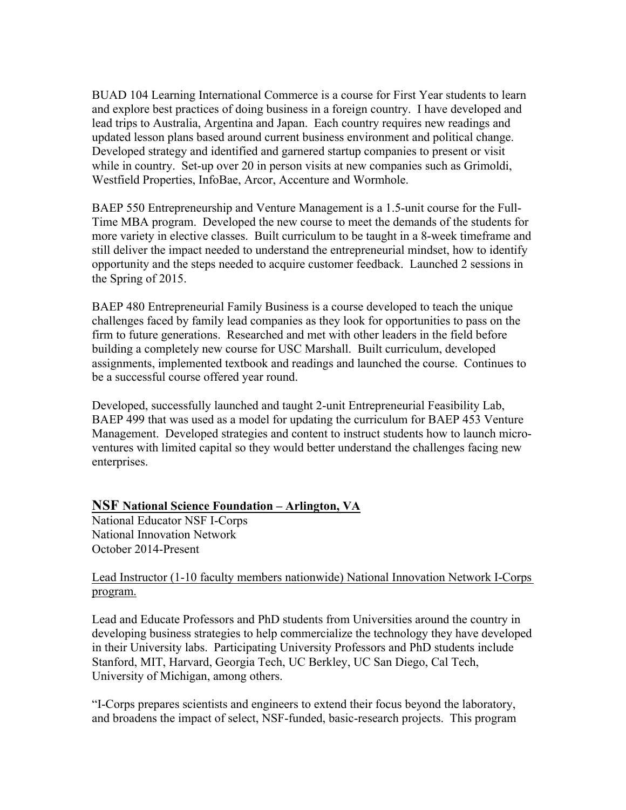BUAD 104 Learning International Commerce is a course for First Year students to learn and explore best practices of doing business in a foreign country. I have developed and lead trips to Australia, Argentina and Japan. Each country requires new readings and updated lesson plans based around current business environment and political change. Developed strategy and identified and garnered startup companies to present or visit while in country. Set-up over 20 in person visits at new companies such as Grimoldi, Westfield Properties, InfoBae, Arcor, Accenture and Wormhole.

BAEP 550 Entrepreneurship and Venture Management is a 1.5-unit course for the Full-Time MBA program. Developed the new course to meet the demands of the students for more variety in elective classes. Built curriculum to be taught in a 8-week timeframe and still deliver the impact needed to understand the entrepreneurial mindset, how to identify opportunity and the steps needed to acquire customer feedback. Launched 2 sessions in the Spring of 2015.

BAEP 480 Entrepreneurial Family Business is a course developed to teach the unique challenges faced by family lead companies as they look for opportunities to pass on the firm to future generations. Researched and met with other leaders in the field before building a completely new course for USC Marshall. Built curriculum, developed assignments, implemented textbook and readings and launched the course. Continues to be a successful course offered year round.

Developed, successfully launched and taught 2-unit Entrepreneurial Feasibility Lab, BAEP 499 that was used as a model for updating the curriculum for BAEP 453 Venture Management. Developed strategies and content to instruct students how to launch microventures with limited capital so they would better understand the challenges facing new enterprises.

#### **NSF National Science Foundation – Arlington, VA**

National Educator NSF I-Corps National Innovation Network October 2014-Present

#### Lead Instructor (1-10 faculty members nationwide) National Innovation Network I-Corps program.

Lead and Educate Professors and PhD students from Universities around the country in developing business strategies to help commercialize the technology they have developed in their University labs. Participating University Professors and PhD students include Stanford, MIT, Harvard, Georgia Tech, UC Berkley, UC San Diego, Cal Tech, University of Michigan, among others.

"I-Corps prepares scientists and engineers to extend their focus beyond the laboratory, and broadens the impact of select, NSF-funded, basic-research projects. This program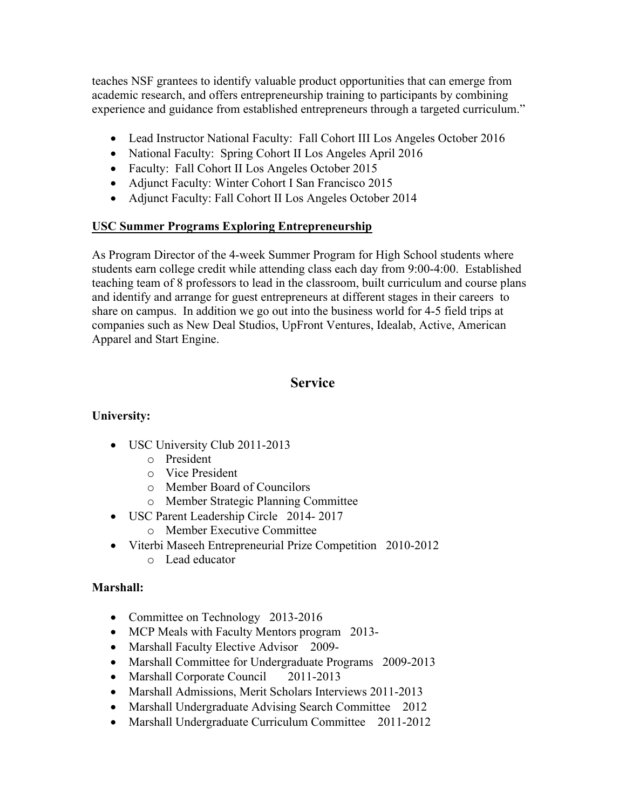teaches NSF grantees to identify valuable product opportunities that can emerge from academic research, and offers entrepreneurship training to participants by combining experience and guidance from established entrepreneurs through a targeted curriculum."

- Lead Instructor National Faculty: Fall Cohort III Los Angeles October 2016
- National Faculty: Spring Cohort II Los Angeles April 2016
- Faculty: Fall Cohort II Los Angeles October 2015
- Adjunct Faculty: Winter Cohort I San Francisco 2015
- Adjunct Faculty: Fall Cohort II Los Angeles October 2014

#### **USC Summer Programs Exploring Entrepreneurship**

As Program Director of the 4-week Summer Program for High School students where students earn college credit while attending class each day from 9:00-4:00. Established teaching team of 8 professors to lead in the classroom, built curriculum and course plans and identify and arrange for guest entrepreneurs at different stages in their careers to share on campus. In addition we go out into the business world for 4-5 field trips at companies such as New Deal Studios, UpFront Ventures, Idealab, Active, American Apparel and Start Engine.

## **Service**

#### **University:**

- USC University Club 2011-2013
	- o President
	- o Vice President
	- o Member Board of Councilors
	- o Member Strategic Planning Committee
- USC Parent Leadership Circle 2014- 2017
	- o Member Executive Committee
- Viterbi Maseeh Entrepreneurial Prize Competition 2010-2012
	- o Lead educator

#### **Marshall:**

- Committee on Technology 2013-2016
- MCP Meals with Faculty Mentors program 2013-
- Marshall Faculty Elective Advisor 2009-
- Marshall Committee for Undergraduate Programs 2009-2013
- Marshall Corporate Council 2011-2013
- Marshall Admissions, Merit Scholars Interviews 2011-2013
- Marshall Undergraduate Advising Search Committee 2012
- Marshall Undergraduate Curriculum Committee 2011-2012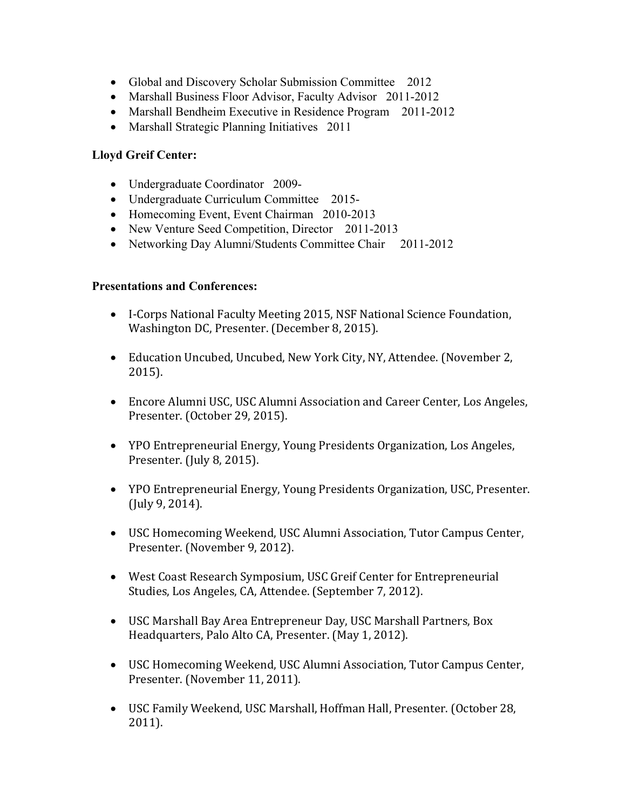- Global and Discovery Scholar Submission Committee 2012
- Marshall Business Floor Advisor, Faculty Advisor 2011-2012
- Marshall Bendheim Executive in Residence Program 2011-2012
- Marshall Strategic Planning Initiatives 2011

#### **Lloyd Greif Center:**

- Undergraduate Coordinator 2009-
- Undergraduate Curriculum Committee 2015-
- Homecoming Event, Event Chairman 2010-2013
- New Venture Seed Competition, Director 2011-2013
- Networking Day Alumni/Students Committee Chair 2011-2012

#### **Presentations and Conferences:**

- I-Corps National Faculty Meeting 2015, NSF National Science Foundation, Washington DC, Presenter. (December 8, 2015).
- Education Uncubed, Uncubed, New York City, NY, Attendee. (November 2, 2015).
- Encore Alumni USC, USC Alumni Association and Career Center, Los Angeles, Presenter. (October 29, 2015).
- YPO Entrepreneurial Energy, Young Presidents Organization, Los Angeles, Presenter. (July 8, 2015).
- YPO Entrepreneurial Energy, Young Presidents Organization, USC, Presenter. (July 9, 2014).
- USC Homecoming Weekend, USC Alumni Association, Tutor Campus Center, Presenter. (November 9, 2012).
- West Coast Research Symposium, USC Greif Center for Entrepreneurial Studies, Los Angeles, CA, Attendee. (September 7, 2012).
- USC Marshall Bay Area Entrepreneur Day, USC Marshall Partners, Box Headquarters, Palo Alto CA, Presenter. (May 1, 2012).
- USC Homecoming Weekend, USC Alumni Association, Tutor Campus Center, Presenter. (November 11, 2011).
- USC Family Weekend, USC Marshall, Hoffman Hall, Presenter. (October 28, 2011).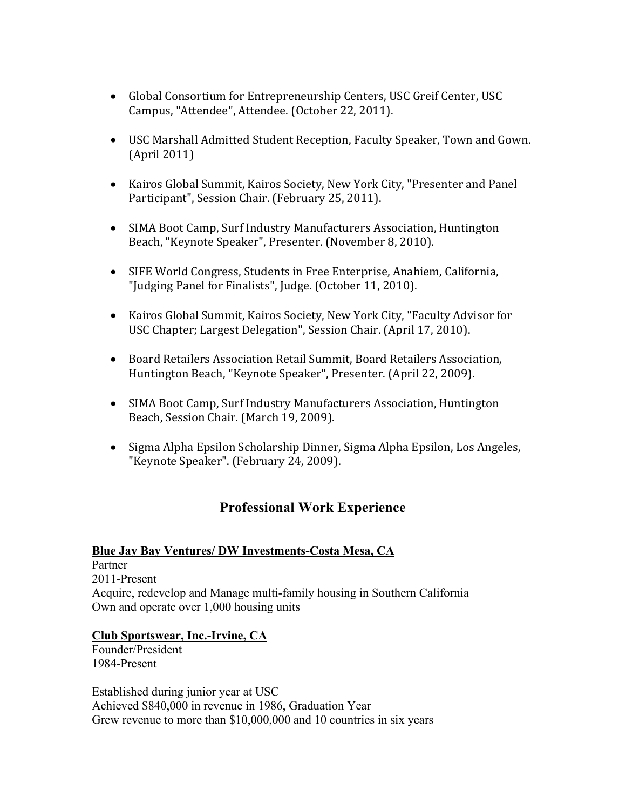- Global Consortium for Entrepreneurship Centers, USC Greif Center, USC Campus, "Attendee", Attendee. (October 22, 2011).
- USC Marshall Admitted Student Reception, Faculty Speaker, Town and Gown.  $(April 2011)$
- Kairos Global Summit, Kairos Society, New York City, "Presenter and Panel Participant", Session Chair. (February 25, 2011).
- SIMA Boot Camp, Surf Industry Manufacturers Association, Huntington Beach, "Keynote Speaker", Presenter. (November 8, 2010).
- SIFE World Congress, Students in Free Enterprise, Anahiem, California, "Judging Panel for Finalists", Judge. (October 11, 2010).
- Kairos Global Summit, Kairos Society, New York City, "Faculty Advisor for USC Chapter; Largest Delegation", Session Chair. (April 17, 2010).
- Board Retailers Association Retail Summit, Board Retailers Association, Huntington Beach, "Keynote Speaker", Presenter. (April 22, 2009).
- SIMA Boot Camp, Surf Industry Manufacturers Association, Huntington Beach, Session Chair. (March 19, 2009).
- Sigma Alpha Epsilon Scholarship Dinner, Sigma Alpha Epsilon, Los Angeles, "Keynote Speaker". (February 24, 2009).

# **Professional Work Experience**

#### **Blue Jay Bay Ventures/ DW Investments-Costa Mesa, CA**

Partner 2011-Present Acquire, redevelop and Manage multi-family housing in Southern California Own and operate over 1,000 housing units

#### **Club Sportswear, Inc.-Irvine, CA**

Founder/President 1984-Present

Established during junior year at USC Achieved \$840,000 in revenue in 1986, Graduation Year Grew revenue to more than \$10,000,000 and 10 countries in six years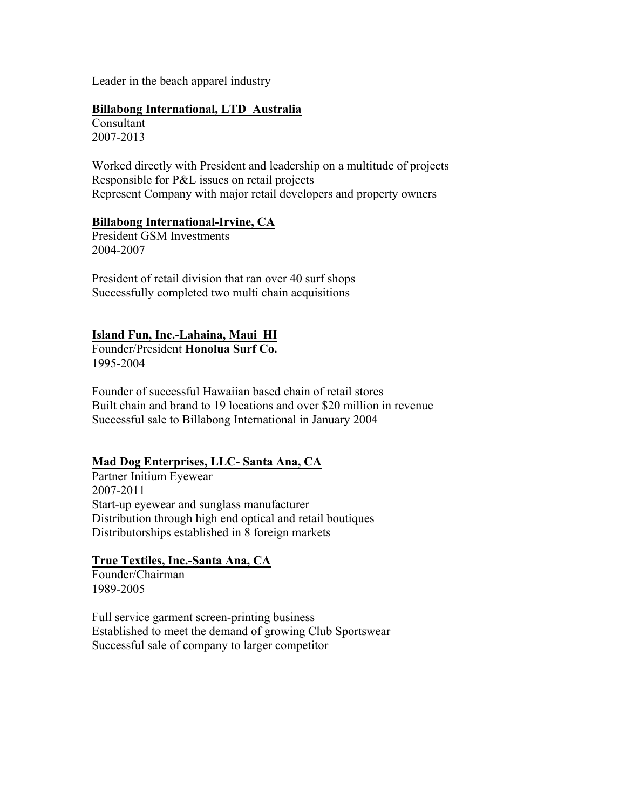Leader in the beach apparel industry

#### **Billabong International, LTD Australia**

Consultant 2007-2013

Worked directly with President and leadership on a multitude of projects Responsible for P&L issues on retail projects Represent Company with major retail developers and property owners

#### **Billabong International-Irvine, CA**

President GSM Investments 2004-2007

President of retail division that ran over 40 surf shops Successfully completed two multi chain acquisitions

#### **Island Fun, Inc.-Lahaina, Maui HI**

Founder/President **Honolua Surf Co.** 1995-2004

Founder of successful Hawaiian based chain of retail stores Built chain and brand to 19 locations and over \$20 million in revenue Successful sale to Billabong International in January 2004

#### **Mad Dog Enterprises, LLC- Santa Ana, CA**

Partner Initium Eyewear 2007-2011 Start-up eyewear and sunglass manufacturer Distribution through high end optical and retail boutiques Distributorships established in 8 foreign markets

#### **True Textiles, Inc.-Santa Ana, CA**

Founder/Chairman 1989-2005

Full service garment screen-printing business Established to meet the demand of growing Club Sportswear Successful sale of company to larger competitor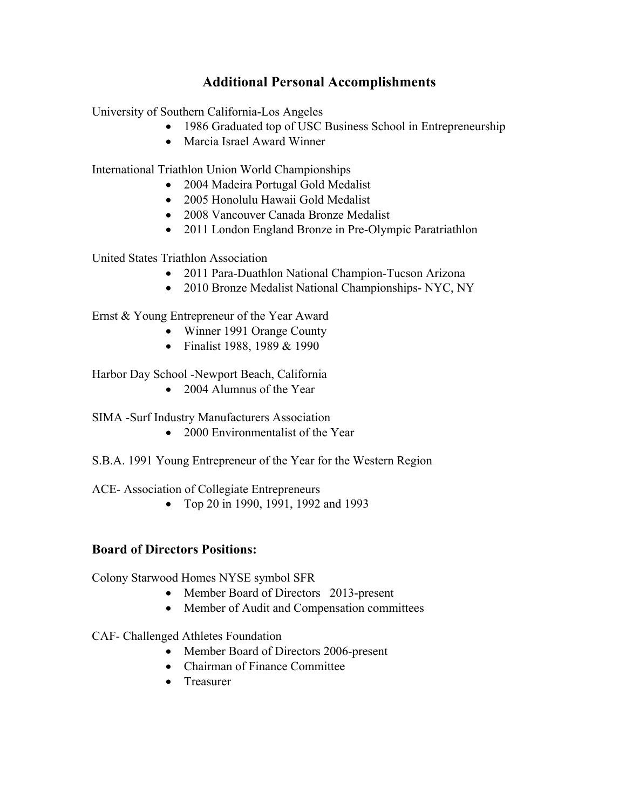## **Additional Personal Accomplishments**

University of Southern California-Los Angeles

- 1986 Graduated top of USC Business School in Entrepreneurship
- Marcia Israel Award Winner

International Triathlon Union World Championships

- 2004 Madeira Portugal Gold Medalist
- 2005 Honolulu Hawaii Gold Medalist
- 2008 Vancouver Canada Bronze Medalist
- 2011 London England Bronze in Pre-Olympic Paratriathlon

United States Triathlon Association

- 2011 Para-Duathlon National Champion-Tucson Arizona
- 2010 Bronze Medalist National Championships- NYC, NY

Ernst & Young Entrepreneur of the Year Award

- Winner 1991 Orange County
- Finalist 1988, 1989 & 1990

Harbor Day School -Newport Beach, California

• 2004 Alumnus of the Year

SIMA -Surf Industry Manufacturers Association

- 2000 Environmentalist of the Year
- S.B.A. 1991 Young Entrepreneur of the Year for the Western Region

ACE- Association of Collegiate Entrepreneurs

• Top 20 in 1990, 1991, 1992 and 1993

#### **Board of Directors Positions:**

Colony Starwood Homes NYSE symbol SFR

- Member Board of Directors 2013-present
- Member of Audit and Compensation committees
- CAF- Challenged Athletes Foundation
	- Member Board of Directors 2006-present
	- Chairman of Finance Committee
	- Treasurer